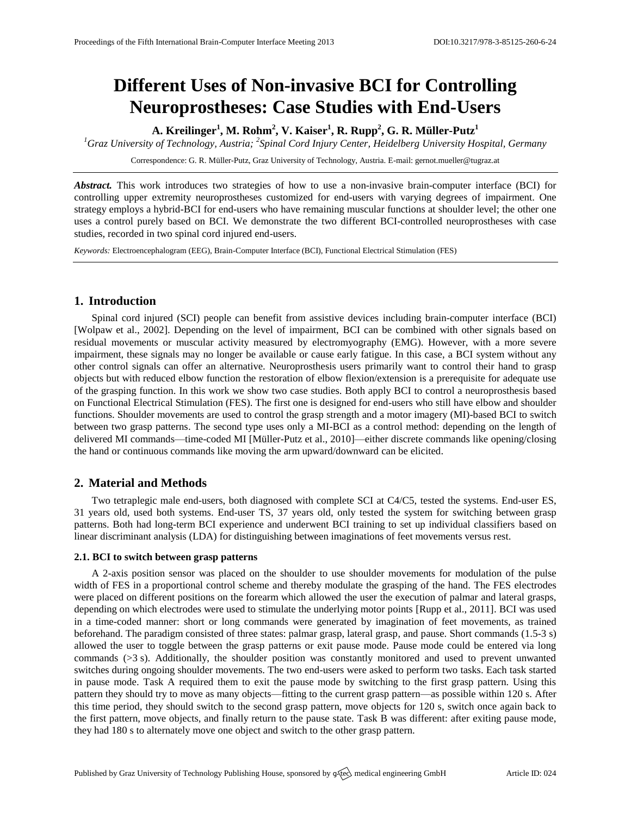# **Different Uses of Non-invasive BCI for Controlling Neuroprostheses: Case Studies with End-Users**

**A. Kreilinger<sup>1</sup> , M. Rohm<sup>2</sup> , V. Kaiser<sup>1</sup> , R. Rupp<sup>2</sup> , G. R. Müller-Putz<sup>1</sup>**

*<sup>1</sup>Graz University of Technology, Austria; <sup>2</sup> Spinal Cord Injury Center, Heidelberg University Hospital, Germany*

Correspondence: G. R. Müller-Putz, Graz University of Technology, Austria. E-mail: [gernot.mueller@tugraz.at](mailto:gernot.mueller@tugraz.at)

*Abstract.* This work introduces two strategies of how to use a non-invasive brain-computer interface (BCI) for controlling upper extremity neuroprostheses customized for end-users with varying degrees of impairment. One strategy employs a hybrid-BCI for end-users who have remaining muscular functions at shoulder level; the other one uses a control purely based on BCI. We demonstrate the two different BCI-controlled neuroprostheses with case studies, recorded in two spinal cord injured end-users.

*Keywords:* Electroencephalogram (EEG), Brain-Computer Interface (BCI), Functional Electrical Stimulation (FES)

# **1. Introduction**

Spinal cord injured (SCI) people can benefit from assistive devices including brain-computer interface (BCI) [Wolpaw et al., 2002]. Depending on the level of impairment, BCI can be combined with other signals based on residual movements or muscular activity measured by electromyography (EMG). However, with a more severe impairment, these signals may no longer be available or cause early fatigue. In this case, a BCI system without any other control signals can offer an alternative. Neuroprosthesis users primarily want to control their hand to grasp objects but with reduced elbow function the restoration of elbow flexion/extension is a prerequisite for adequate use of the grasping function. In this work we show two case studies. Both apply BCI to control a neuroprosthesis based on Functional Electrical Stimulation (FES). The first one is designed for end-users who still have elbow and shoulder functions. Shoulder movements are used to control the grasp strength and a motor imagery (MI)-based BCI to switch between two grasp patterns. The second type uses only a MI-BCI as a control method: depending on the length of delivered MI commands—time-coded MI [Müller-Putz et al., 2010]—either discrete commands like opening/closing the hand or continuous commands like moving the arm upward/downward can be elicited.

# **2. Material and Methods**

Two tetraplegic male end-users, both diagnosed with complete SCI at C4/C5, tested the systems. End-user ES, 31 years old, used both systems. End-user TS, 37 years old, only tested the system for switching between grasp patterns. Both had long-term BCI experience and underwent BCI training to set up individual classifiers based on linear discriminant analysis (LDA) for distinguishing between imaginations of feet movements versus rest.

## **2.1. BCI to switch between grasp patterns**

A 2-axis position sensor was placed on the shoulder to use shoulder movements for modulation of the pulse width of FES in a proportional control scheme and thereby modulate the grasping of the hand. The FES electrodes were placed on different positions on the forearm which allowed the user the execution of palmar and lateral grasps, depending on which electrodes were used to stimulate the underlying motor points [Rupp et al., 2011]. BCI was used in a time-coded manner: short or long commands were generated by imagination of feet movements, as trained beforehand. The paradigm consisted of three states: palmar grasp, lateral grasp, and pause. Short commands (1.5-3 s) allowed the user to toggle between the grasp patterns or exit pause mode. Pause mode could be entered via long commands  $(>3 s)$ . Additionally, the shoulder position was constantly monitored and used to prevent unwanted switches during ongoing shoulder movements. The two end-users were asked to perform two tasks. Each task started in pause mode. Task A required them to exit the pause mode by switching to the first grasp pattern. Using this pattern they should try to move as many objects—fitting to the current grasp pattern—as possible within 120 s. After this time period, they should switch to the second grasp pattern, move objects for 120 s, switch once again back to the first pattern, move objects, and finally return to the pause state. Task B was different: after exiting pause mode, they had 180 s to alternately move one object and switch to the other grasp pattern.